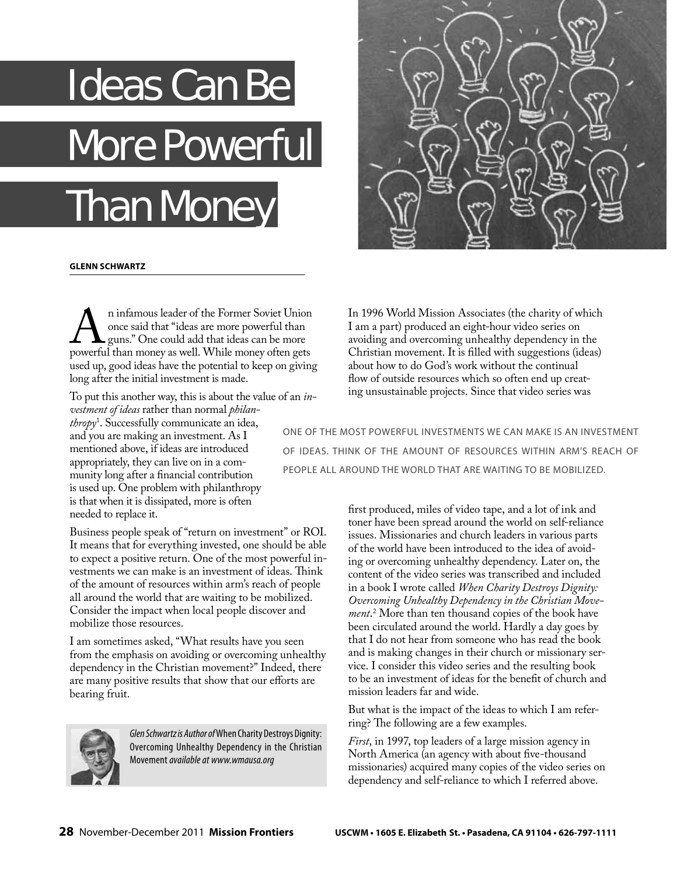## Ideas Can Be More Powerful Than Money



## **GLENN SCHWARTZ**

1 Infamous leader of the Former Soviet Union<br>
9 once said that "ideas are more powerful than<br>
19 once said that ideas can be more<br>
19 nowerful than money as well. While money often gets once said that "ideas are more powerful than guns." One could add that ideas can be more powerful than money as well. While money often gets used up, good ideas have the potential to keep on giving long after the initial investment is made.

To put this another way, this is about the value of an *investment of ideas* rather than normal *philanthropy*<sup>1</sup> . Successfully communicate an idea, and you are making an investment. As I mentioned above, if ideas are introduced appropriately, they can live on in a community long after a financial contribution is used up. One problem with philanthropy is that when it is dissipated, more is often needed to replace it.

Business people speak of "return on investment" or ROI. It means that for everything invested, one should be able to expect a positive return. One of the most powerful investments we can make is an investment of ideas. Think of the amount of resources within arm's reach of people all around the world that are waiting to be mobilized. Consider the impact when local people discover and mobilize those resources.

I am sometimes asked, "What results have you seen from the emphasis on avoiding or overcoming unhealthy dependency in the Christian movement?" Indeed, there are many positive results that show that our efforts are bearing fruit.



Glen Schwartz is Author of When Charity Destroys Dignity: Overcoming Unhealthy Dependency in the Christian Movement available at www.wmausa.org

In 1996 World Mission Associates (the charity of which I am a part) produced an eight-hour video series on avoiding and overcoming unhealthy dependency in the Christian movement. It is filled with suggestions (ideas) about how to do God's work without the continual flow of outside resources which so often end up creating unsustainable projects. Since that video series was

ONE OF THE MOST POWERFUL INVESTMENTS WE CAN MAKE IS AN INVESTMENT OF IDEAS. THINK OF THE AMOUNT OF RESOURCES WITHIN ARM'S REACH OF PEOPLE ALL AROUND THE WORLD THAT ARE WAITING TO BE MOBILIZED.

> first produced, miles of video tape, and a lot of ink and toner have been spread around the world on self-reliance issues. Missionaries and church leaders in various parts of the world have been introduced to the idea of avoiding or overcoming unhealthy dependency. Later on, the content of the video series was transcribed and included in a book I wrote called *When Charity Destroys Dignity: Overcoming Unhealthy Dependency in the Christian Movement*. 2 More than ten thousand copies of the book have been circulated around the world. Hardly a day goes by that I do not hear from someone who has read the book and is making changes in their church or missionary service. I consider this video series and the resulting book to be an investment of ideas for the benefit of church and mission leaders far and wide.

But what is the impact of the ideas to which I am referring? The following are a few examples.

*First*, in 1997, top leaders of a large mission agency in North America (an agency with about five-thousand missionaries) acquired many copies of the video series on dependency and self-reliance to which I referred above.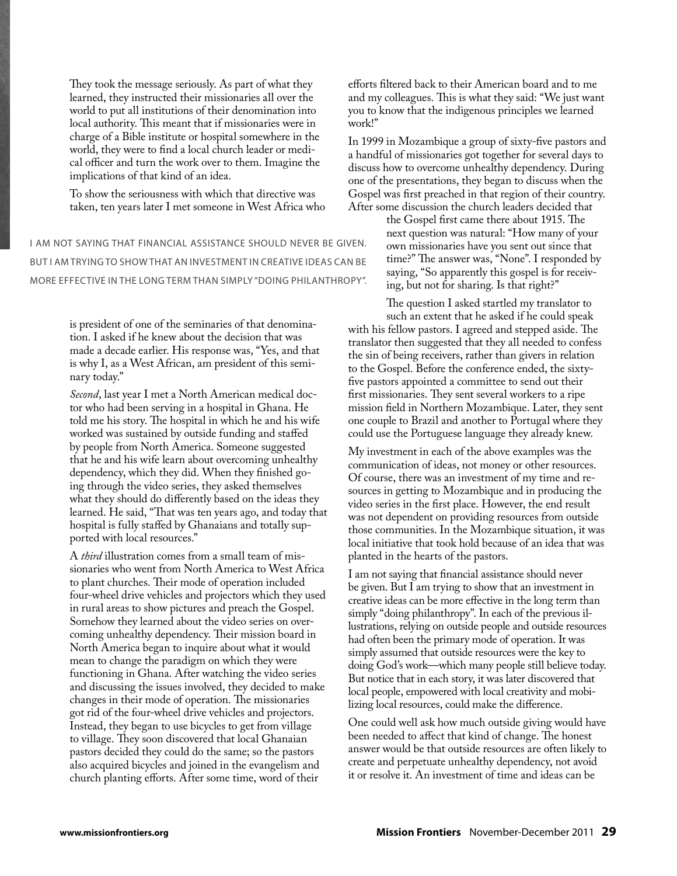They took the message seriously. As part of what they learned, they instructed their missionaries all over the world to put all institutions of their denomination into local authority. This meant that if missionaries were in charge of a Bible institute or hospital somewhere in the world, they were to find a local church leader or medical officer and turn the work over to them. Imagine the implications of that kind of an idea.

To show the seriousness with which that directive was taken, ten years later I met someone in West Africa who

I AM NOT SAYING THAT FINANCIAL ASSISTANCE SHOULD NEVER BE GIVEN. BUT I AM TRYING TO SHOW THAT AN INVESTMENT IN CREATIVE IDEAS CAN BE MORE EFFECTIVE IN THE LONG TERM THAN SIMPLY "DOING PHILANTHROPY".

> is president of one of the seminaries of that denomination. I asked if he knew about the decision that was made a decade earlier. His response was, "Yes, and that is why I, as a West African, am president of this seminary today."

*Second*, last year I met a North American medical doctor who had been serving in a hospital in Ghana. He told me his story. The hospital in which he and his wife worked was sustained by outside funding and staffed by people from North America. Someone suggested that he and his wife learn about overcoming unhealthy dependency, which they did. When they finished going through the video series, they asked themselves what they should do differently based on the ideas they learned. He said, "That was ten years ago, and today that hospital is fully staffed by Ghanaians and totally supported with local resources."

A *third* illustration comes from a small team of missionaries who went from North America to West Africa to plant churches. Their mode of operation included four-wheel drive vehicles and projectors which they used in rural areas to show pictures and preach the Gospel. Somehow they learned about the video series on overcoming unhealthy dependency. Their mission board in North America began to inquire about what it would mean to change the paradigm on which they were functioning in Ghana. After watching the video series and discussing the issues involved, they decided to make changes in their mode of operation. The missionaries got rid of the four-wheel drive vehicles and projectors. Instead, they began to use bicycles to get from village to village. They soon discovered that local Ghanaian pastors decided they could do the same; so the pastors also acquired bicycles and joined in the evangelism and church planting efforts. After some time, word of their

efforts filtered back to their American board and to me and my colleagues. This is what they said: "We just want you to know that the indigenous principles we learned work!"

In 1999 in Mozambique a group of sixty-five pastors and a handful of missionaries got together for several days to discuss how to overcome unhealthy dependency. During one of the presentations, they began to discuss when the Gospel was first preached in that region of their country. After some discussion the church leaders decided that

> the Gospel first came there about 1915. The next question was natural: "How many of your own missionaries have you sent out since that time?" The answer was, "None". I responded by saying, "So apparently this gospel is for receiving, but not for sharing. Is that right?"

The question I asked startled my translator to such an extent that he asked if he could speak

with his fellow pastors. I agreed and stepped aside. The translator then suggested that they all needed to confess the sin of being receivers, rather than givers in relation to the Gospel. Before the conference ended, the sixtyfive pastors appointed a committee to send out their first missionaries. They sent several workers to a ripe mission field in Northern Mozambique. Later, they sent one couple to Brazil and another to Portugal where they could use the Portuguese language they already knew.

My investment in each of the above examples was the communication of ideas, not money or other resources. Of course, there was an investment of my time and resources in getting to Mozambique and in producing the video series in the first place. However, the end result was not dependent on providing resources from outside those communities. In the Mozambique situation, it was local initiative that took hold because of an idea that was planted in the hearts of the pastors.

I am not saying that financial assistance should never be given. But I am trying to show that an investment in creative ideas can be more effective in the long term than simply "doing philanthropy". In each of the previous illustrations, relying on outside people and outside resources had often been the primary mode of operation. It was simply assumed that outside resources were the key to doing God's work—which many people still believe today. But notice that in each story, it was later discovered that local people, empowered with local creativity and mobilizing local resources, could make the difference.

One could well ask how much outside giving would have been needed to affect that kind of change. The honest answer would be that outside resources are often likely to create and perpetuate unhealthy dependency, not avoid it or resolve it. An investment of time and ideas can be